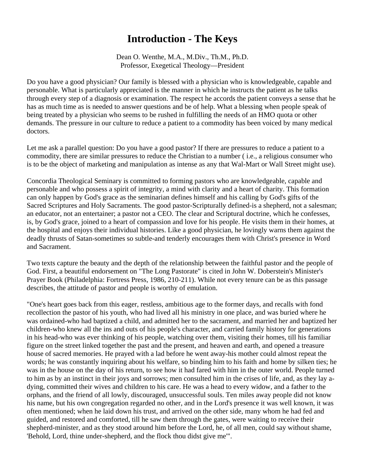## **Introduction - The Keys**

Dean O. Wenthe, M.A., M.Div., Th.M., Ph.D. Professor, Exegetical Theology—President

Do you have a good physician? Our family is blessed with a physician who is knowledgeable, capable and personable. What is particularly appreciated is the manner in which he instructs the patient as he talks through every step of a diagnosis or examination. The respect he accords the patient conveys a sense that he has as much time as is needed to answer questions and be of help. What a blessing when people speak of being treated by a physician who seems to be rushed in fulfilling the needs of an HMO quota or other demands. The pressure in our culture to reduce a patient to a commodity has been voiced by many medical doctors.

Let me ask a parallel question: Do you have a good pastor? If there are pressures to reduce a patient to a commodity, there are similar pressures to reduce the Christian to a number ( i.e., a religious consumer who is to be the object of marketing and manipulation as intense as any that Wal-Mart or Wall Street might use).

Concordia Theological Seminary is committed to forming pastors who are knowledgeable, capable and personable and who possess a spirit of integrity, a mind with clarity and a heart of charity. This formation can only happen by God's grace as the seminarian defines himself and his calling by God's gifts of the Sacred Scriptures and Holy Sacraments. The good pastor-Scripturally defined-is a shepherd, not a salesman; an educator, not an entertainer; a pastor not a CEO. The clear and Scriptural doctrine, which he confesses, is, by God's grace, joined to a heart of compassion and love for his people. He visits them in their homes, at the hospital and enjoys their individual histories. Like a good physician, he lovingly warns them against the deadly thrusts of Satan-sometimes so subtle-and tenderly encourages them with Christ's presence in Word and Sacrament.

Two texts capture the beauty and the depth of the relationship between the faithful pastor and the people of God. First, a beautiful endorsement on "The Long Pastorate" is cited in John W. Doberstein's Minister's Prayer Book (Philadelphia: Fortress Press, 1986, 210-211). While not every tenure can be as this passage describes, the attitude of pastor and people is worthy of emulation.

"One's heart goes back from this eager, restless, ambitious age to the former days, and recalls with fond recollection the pastor of his youth, who had lived all his ministry in one place, and was buried where he was ordained-who had baptized a child, and admitted her to the sacrament, and married her and baptized her children-who knew all the ins and outs of his people's character, and carried family history for generations in his head-who was ever thinking of his people, watching over them, visiting their homes, till his familiar figure on the street linked together the past and the present, and heaven and earth, and opened a treasure house of sacred memories. He prayed with a lad before he went away-his mother could almost repeat the words; he was constantly inquiring about his welfare, so binding him to his faith and home by silken ties; he was in the house on the day of his return, to see how it had fared with him in the outer world. People turned to him as by an instinct in their joys and sorrows; men consulted him in the crises of life, and, as they lay adying, committed their wives and children to his care. He was a head to every widow, and a father to the orphans, and the friend of all lowly, discouraged, unsuccessful souls. Ten miles away people did not know his name, but his own congregation regarded no other, and in the Lord's presence it was well known, it was often mentioned; when he laid down his trust, and arrived on the other side, many whom he had fed and guided, and restored and comforted, till he saw them through the gates, were waiting to receive their shepherd-minister, and as they stood around him before the Lord, he, of all men, could say without shame, 'Behold, Lord, thine under-shepherd, and the flock thou didst give me'".